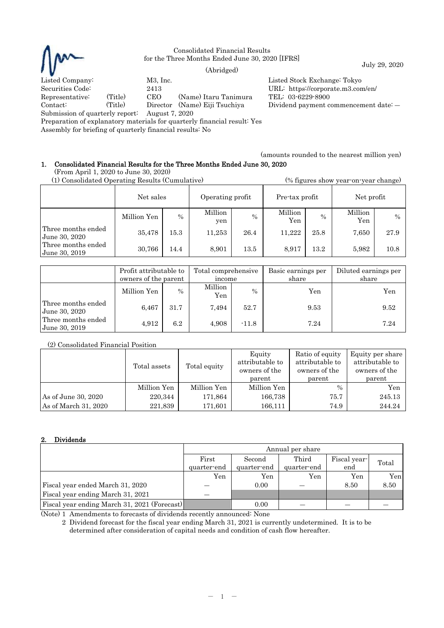

Consolidated Financial Results for the Three Months Ended June 30, 2020 [IFRS]

July 29, 2020 (Abridged)

Representative: (Title) CEO (Name) Itaru Tanimura TEL: 03-6229-8900

Listed Company: M3, Inc. Listed Stock Exchange: Tokyo Securities Code: 2413 URL: https://corporate.m3.com/en/ Contact: (Title) Director (Name) Eiji Tsuchiya Dividend payment commencement date: ―

Submission of quarterly report: August 7, 2020

Preparation of explanatory materials for quarterly financial result: Yes

Assembly for briefing of quarterly financial results: No

(amounts rounded to the nearest million yen)

## 1. Consolidated Financial Results for the Three Months Ended June 30, 2020 (From April 1, 2020 to June 30, 2020)

| (1) Consolidated Operating Results (Cumulative) |             |               |                  |               | (% figures show year-on-year change) |               |                |               |
|-------------------------------------------------|-------------|---------------|------------------|---------------|--------------------------------------|---------------|----------------|---------------|
|                                                 | Net sales   |               | Operating profit |               | Pre-tax profit                       |               | Net profit     |               |
|                                                 | Million Yen | $\frac{0}{0}$ | Million<br>yen   | $\frac{0}{0}$ | Million<br>Yen                       | $\frac{0}{0}$ | Million<br>Yen | $\frac{0}{0}$ |
| Three months ended<br>June 30, 2020             | 35,478      | 15.3          | 11,253           | 26.4          | 11.222                               | 25.8          | 7,650          | 27.9          |
| Three months ended<br>June 30, 2019             | 30,766      | 14.4          | 8,901            | 13.5          | 8.917                                | 13.2          | 5,982          | 10.8          |

|                                       | Profit attributable to<br>owners of the parent |               | Total comprehensive<br>income |         | Basic earnings per<br>share | Diluted earnings per<br>share |  |
|---------------------------------------|------------------------------------------------|---------------|-------------------------------|---------|-----------------------------|-------------------------------|--|
|                                       | Million Yen                                    | $\frac{0}{0}$ | Million<br>Yen                | $\%$    | Yen                         | Yen                           |  |
| Three months ended<br>June 30, 2020   | 6.467                                          | 31.7          | 7.494                         | 52.7    | 9.53                        | 9.52                          |  |
| Three months ended<br>  June 30, 2019 | 4,912                                          | 6.2           | 4.908                         | $-11.8$ | 7.24                        | 7.24                          |  |

# (2) Consolidated Financial Position

|                      | Total assets | Total equity | Equity<br>attributable to<br>owners of the<br>parent | Ratio of equity<br>attributable to<br>owners of the<br>parent | Equity per share<br>attributable to<br>owners of the<br>parent |
|----------------------|--------------|--------------|------------------------------------------------------|---------------------------------------------------------------|----------------------------------------------------------------|
|                      | Million Yen  | Million Yen  | Million Yen                                          | $\frac{0}{0}$                                                 | Yen                                                            |
| As of June 30, 2020  | 220,344      | 171,864      | 166,738                                              | 75.7                                                          | 245.13                                                         |
| As of March 31, 2020 | 221,839      | 171,601      | 166,111                                              | 74.9                                                          | 244.24                                                         |

# 2. Dividends

|                                              | Annual per share     |                       |                      |                     |       |
|----------------------------------------------|----------------------|-----------------------|----------------------|---------------------|-------|
|                                              | First<br>quarter-end | Second<br>quarter-end | Third<br>quarter-end | Fiscal year-<br>end | Total |
|                                              | Yen                  | Yen                   | Yen                  | Yen                 | Yen   |
| Fiscal year ended March 31, 2020             |                      | 0.00                  |                      | 8.50                | 8.50  |
| Fiscal year ending March 31, 2021            |                      |                       |                      |                     |       |
| Fiscal year ending March 31, 2021 (Forecast) |                      | 0.00                  |                      |                     |       |

(Note) 1 Amendments to forecasts of dividends recently announced: None

2 Dividend forecast for the fiscal year ending March 31, 2021 is currently undetermined. It is to be determined after consideration of capital needs and condition of cash flow hereafter.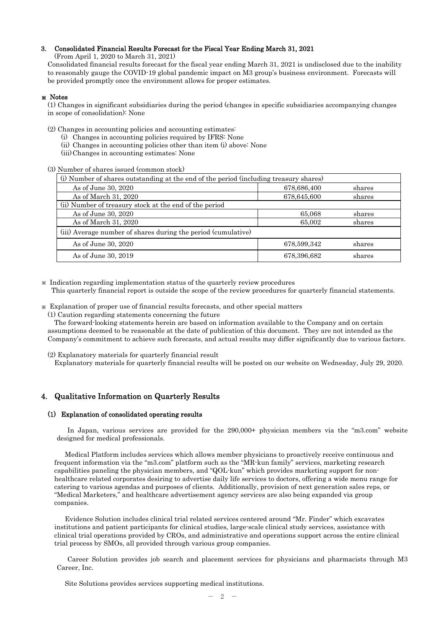### 3. Consolidated Financial Results Forecast for the Fiscal Year Ending March 31, 2021

(From April 1, 2020 to March 31, 2021)

Consolidated financial results forecast for the fiscal year ending March 31, 2021 is undisclosed due to the inability to reasonably gauge the COVID-19 global pandemic impact on M3 group's business environment. Forecasts will be provided promptly once the environment allows for proper estimates.

## ※ Notes

(1) Changes in significant subsidiaries during the period (changes in specific subsidiaries accompanying changes in scope of consolidation): None

(2) Changes in accounting policies and accounting estimates:

- (i) Changes in accounting policies required by IFRS: None
- (ii) Changes in accounting policies other than item (i) above: None
- (iii) Changes in accounting estimates: None

(3) Number of shares issued (common stock)

| (i) Number of shares outstanding at the end of the period (including treasury shares) |             |        |  |  |  |
|---------------------------------------------------------------------------------------|-------------|--------|--|--|--|
| As of June 30, 2020                                                                   | 678,686,400 | shares |  |  |  |
| As of March 31, 2020                                                                  | 678,645,600 | shares |  |  |  |
| (ii) Number of treasury stock at the end of the period                                |             |        |  |  |  |
| As of June 30, 2020                                                                   | 65,068      | shares |  |  |  |
| As of March 31, 2020                                                                  | 65,002      | shares |  |  |  |
| (iii) Average number of shares during the period (cumulative)                         |             |        |  |  |  |
| As of June 30, 2020                                                                   | 678,599,342 | shares |  |  |  |
| As of June 30, 2019<br>678,396,682<br>shares                                          |             |        |  |  |  |

※ Indication regarding implementation status of the quarterly review procedures This quarterly financial report is outside the scope of the review procedures for quarterly financial statements.

※ Explanation of proper use of financial results forecasts, and other special matters

(1) Caution regarding statements concerning the future

The forward-looking statements herein are based on information available to the Company and on certain assumptions deemed to be reasonable at the date of publication of this document. They are not intended as the Company's commitment to achieve such forecasts, and actual results may differ significantly due to various factors.

(2) Explanatory materials for quarterly financial result

Explanatory materials for quarterly financial results will be posted on our website on Wednesday, July 29, 2020.

## 4. Qualitative Information on Quarterly Results

### (1) Explanation of consolidated operating results

In Japan, various services are provided for the 290,000+ physician members via the "m3.com" website designed for medical professionals.

Medical Platform includes services which allows member physicians to proactively receive continuous and frequent information via the "m3.com" platform such as the "MR-kun family" services, marketing research capabilities paneling the physician members, and "QOL-kun" which provides marketing support for nonhealthcare related corporates desiring to advertise daily life services to doctors, offering a wide menu range for catering to various agendas and purposes of clients. Additionally, provision of next generation sales reps, or "Medical Marketers," and healthcare advertisement agency services are also being expanded via group companies.

Evidence Solution includes clinical trial related services centered around "Mr. Finder" which excavates institutions and patient participants for clinical studies, large-scale clinical study services, assistance with clinical trial operations provided by CROs, and administrative and operations support across the entire clinical trial process by SMOs, all provided through various group companies.

Career Solution provides job search and placement services for physicians and pharmacists through M3 Career, Inc.

Site Solutions provides services supporting medical institutions.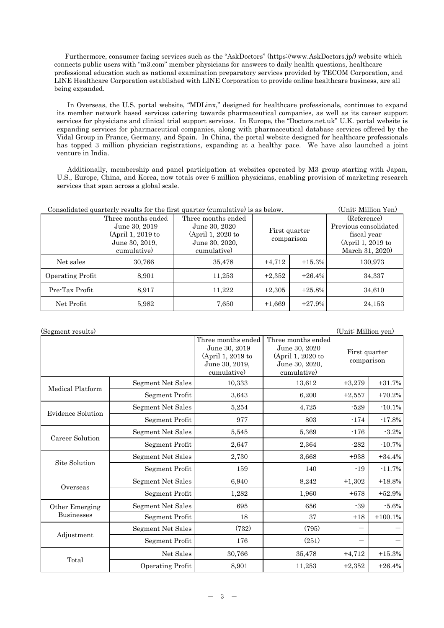Furthermore, consumer facing services such as the "AskDoctors" (https://www.AskDoctors.jp/) website which connects public users with "m3.com" member physicians for answers to daily health questions, healthcare professional education such as national examination preparatory services provided by TECOM Corporation, and LINE Healthcare Corporation established with LINE Corporation to provide online healthcare business, are all being expanded.

In Overseas, the U.S. portal website, "MDLinx," designed for healthcare professionals, continues to expand its member network based services catering towards pharmaceutical companies, as well as its career support services for physicians and clinical trial support services. In Europe, the "Doctors.net.uk" U.K. portal website is expanding services for pharmaceutical companies, along with pharmaceutical database services offered by the Vidal Group in France, Germany, and Spain. In China, the portal website designed for healthcare professionals has topped 3 million physician registrations, expanding at a healthy pace. We have also launched a joint venture in India.

Additionally, membership and panel participation at websites operated by M3 group starting with Japan, U.S., Europe, China, and Korea, now totals over 6 million physicians, enabling provision of marketing research services that span across a global scale.

| Consolidated quarterly results for the first quarter (cumulative) is as below. | (Unit: Million Yen)                                                          |                                                                            |                             |           |                                                                          |  |
|--------------------------------------------------------------------------------|------------------------------------------------------------------------------|----------------------------------------------------------------------------|-----------------------------|-----------|--------------------------------------------------------------------------|--|
|                                                                                | Three months ended<br>June 30, 2019<br>$(April 1, 2019$ to<br>June 30, 2019, | Three months ended<br>June 30, 2020<br>(April 1, 2020 to<br>June 30, 2020, | First quarter<br>comparison |           | (Reference)<br>Previous consolidated<br>fiscal year<br>(April 1, 2019 to |  |
|                                                                                | cumulative)                                                                  | cumulative)                                                                |                             |           | March 31, 2020)                                                          |  |
| Net sales                                                                      | 30,766                                                                       | 35,478                                                                     | $+4,712$                    | $+15.3%$  | 130,973                                                                  |  |
| Operating Profit                                                               | 8,901                                                                        | 11,253                                                                     | $+2,352$                    | $+26.4%$  | 34,337                                                                   |  |
| Pre-Tax Profit                                                                 | 8.917                                                                        | 11,222                                                                     | $+2,305$                    | $+25.8\%$ | 34,610                                                                   |  |
| Net Profit                                                                     | 5,982                                                                        | 7,650                                                                      | $+1,669$                    | $+27.9%$  | 24,153                                                                   |  |

(Segment results) (Unit: Million yen) Three months ended June 30, 2019 (April 1, 2019 to June 30, 2019, cumulative) Three months ended June 30, 2020 (April 1, 2020 to June 30, 2020, cumulative) First quarter comparison Medical Platform Segment Net Sales 10,333  $\vert$  13,612 +3,279 +31.7% Segment Profit  $3,643$   $6,200$   $+2,557$   $+70.2\%$ Evidence Solution Segment Net Sales 5,254 4,725 -529 -10.1% Segment Profit 977 803 -174 -17.8% Career Solution Segment Net Sales 5,545 5,369 176 -3.2% Segment Profit  $2.647$   $2.364$   $-282$   $-10.7\%$ Site Solution Segment Net Sales 2,730 3,668 +938 +34.4% Segment Profit 159 140 140 -19 -11.7% Overseas Segment Net Sales 6,940 6,940 8,242 +1,302 +18.8% Segment Profit 1,282 1,960 +678 +52.9% Other Emerging Businesses Segment Net Sales 695 695 656 -39 -5.6% Segment Profit  $18 \t 18 \t 37 \t +18 \t +100.1\%$ Adjustment  $Segment Net Sales$   $(732)$   $(795)$  $Segment Profit$   $176$   $(251)$ Total Net Sales 30,766 35,478 +4,712 +15.3% Operating Profit  $8,901$   $11,253$   $+2,352$   $+26.4\%$